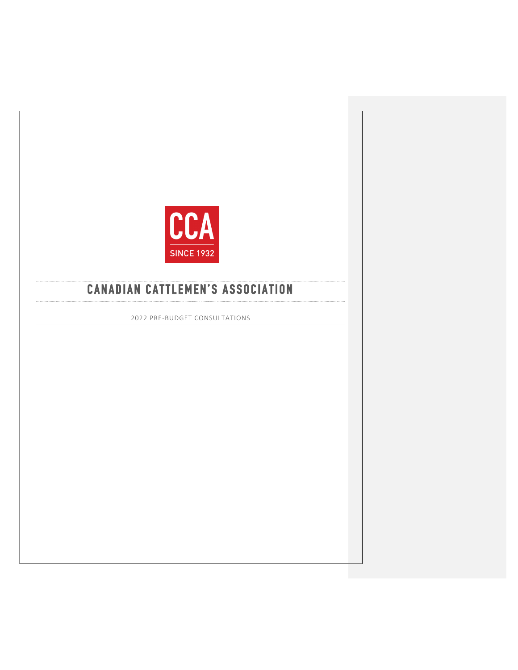

# **CANADIAN CATTLEMEN'S ASSOCIATION**

2022 PRE-BUDGET CONSULTATIONS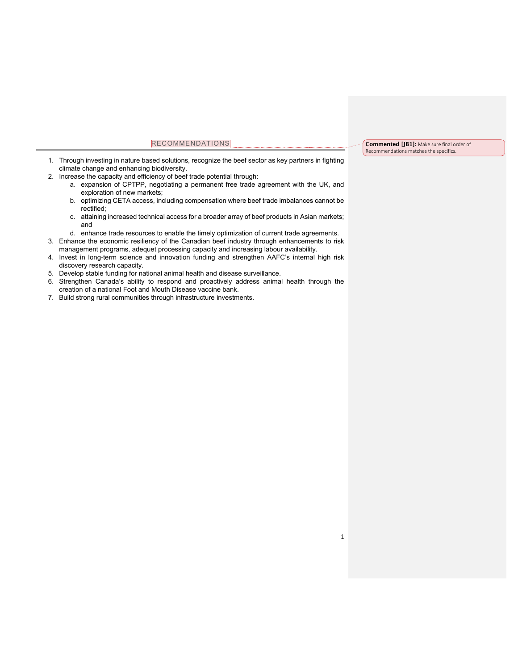#### RECOMMENDATIONS

- 1. Through investing in nature based solutions, recognize the beef sector as key partners in fighting climate change and enhancing biodiversity.
- 2. Increase the capacity and efficiency of beef trade potential through:
	- a. expansion of CPTPP, negotiating a permanent free trade agreement with the UK, and exploration of new markets;
	- b. optimizing CETA access, including compensation where beef trade imbalances cannot be rectified;
	- c. attaining increased technical access for a broader array of beef products in Asian markets; and
	- d. enhance trade resources to enable the timely optimization of current trade agreements.
- 3. Enhance the economic resiliency of the Canadian beef industry through enhancements to risk management programs, adequet processing capacity and increasing labour availability.
- 4. Invest in long-term science and innovation funding and strengthen AAFC's internal high risk discovery research capacity.
- 5. Develop stable funding for national animal health and disease surveillance.
- 6. Strengthen Canada's ability to respond and proactively address animal health through the creation of a national Foot and Mouth Disease vaccine bank.
- 7. Build strong rural communities through infrastructure investments.

#### **Commented [JB1]:** Make sure final order of Recommendations matches the specifics.

1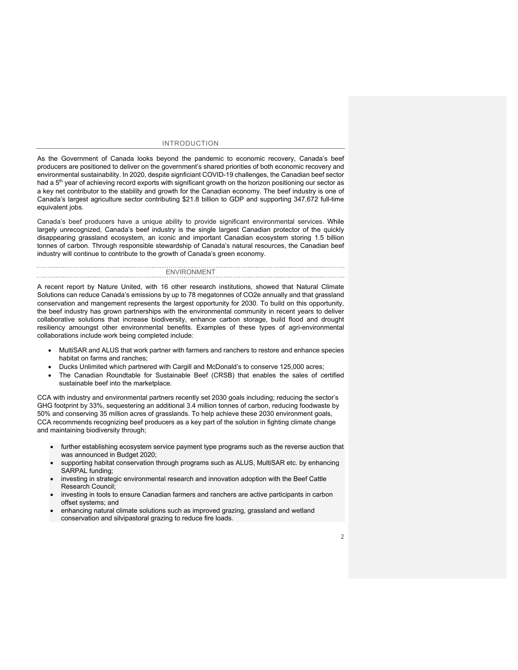#### INTRODUCTION

As the Government of Canada looks beyond the pandemic to economic recovery, Canada's beef producers are positioned to deliver on the government's shared priorities of both economic recovery and environmental sustainability. In 2020, despite signficiant COVID-19 challenges, the Canadian beef sector had a 5<sup>th</sup> year of achieving record exports with significant growth on the horizon positioning our sector as a key net contributor to the stability and growth for the Canadian economy. The beef industry is one of Canada's largest agriculture sector contributing \$21.8 billion to GDP and supporting 347,672 full-time equivalent jobs.

Canada's beef producers have a unique ability to provide significant environmental services. While largely unrecognized, Canada's beef industry is the single largest Canadian protector of the quickly disappearing grassland ecosystem, an iconic and important Canadian ecosystem storing 1.5 billion tonnes of carbon. Through responsible stewardship of Canada's natural resources, the Canadian beef industry will continue to contribute to the growth of Canada's green economy.

ENVIRONMENT A recent report by Nature United, with 16 other research institutions, showed that Natural Climate Solutions can reduce Canada's emissions by up to 78 megatonnes of CO2e annually and that grassland conservation and mangement represents the largest opportunity for 2030. To build on this opportunity, the beef industry has grown partnerships with the environmental community in recent years to deliver collaborative solutions that increase biodiversity, enhance carbon storage, build flood and drought resiliency amoungst other environmental benefits. Examples of these types of agri-environmental collaborations include work being completed include:

- MultiSAR and ALUS that work partner with farmers and ranchers to restore and enhance species habitat on farms and ranches;
- Ducks Unlimited which partnered with Cargill and McDonald's to conserve 125,000 acres;
- The Canadian Roundtable for Sustainable Beef (CRSB) that enables the sales of certified sustainable beef into the marketplace.

CCA with industry and environmental partners recently set 2030 goals including; reducing the sector's GHG footprint by 33%, sequestering an additional 3.4 million tonnes of carbon, reducing foodwaste by 50% and conserving 35 million acres of grasslands. To help achieve these 2030 environment goals, CCA recommends recognizing beef producers as a key part of the solution in fighting climate change and maintaining biodiversity through;

- further establishing ecosystem service payment type programs such as the reverse auction that was announced in Budget 2020;
- supporting habitat conservation through programs such as ALUS, MultiSAR etc. by enhancing SARPAL funding;
- investing in strategic environmental research and innovation adoption with the Beef Cattle Research Council;
- investing in tools to ensure Canadian farmers and ranchers are active participants in carbon offset systems; and
- enhancing natural climate solutions such as improved grazing, grassland and wetland conservation and silvipastoral grazing to reduce fire loads.

 $\overline{\phantom{0}}$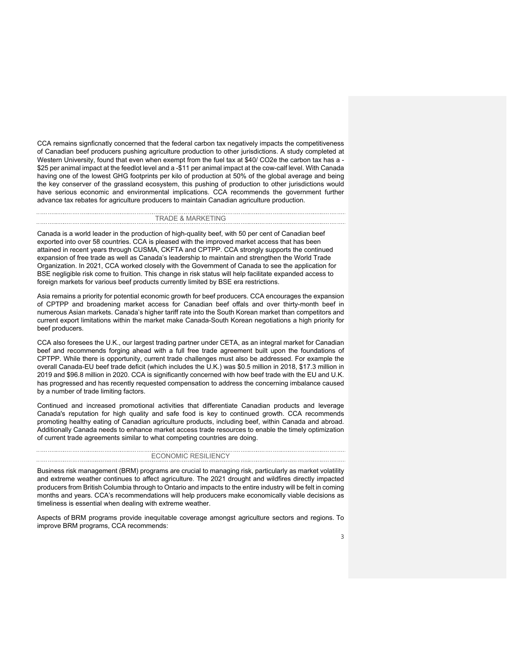CCA remains signficnatly concerned that the federal carbon tax negatively impacts the competitiveness of Canadian beef producers pushing agriculture production to other jurisdictions. A study completed at Western University, found that even when exempt from the fuel tax at \$40/ CO2e the carbon tax has a - \$25 per animal impact at the feedlot level and a -\$11 per animal impact at the cow-calf level. With Canada having one of the lowest GHG footprints per kilo of production at 50% of the global average and being the key conserver of the grassland ecosystem, this pushing of production to other jurisdictions would have serious economic and environmental implications. CCA recommends the government further advance tax rebates for agriculture producers to maintain Canadian agriculture production.

#### TRADE & MARKETING

Canada is a world leader in the production of high-quality beef, with 50 per cent of Canadian beef exported into over 58 countries. CCA is pleased with the improved market access that has been attained in recent years through CUSMA, CKFTA and CPTPP. CCA strongly supports the continued expansion of free trade as well as Canada's leadership to maintain and strengthen the World Trade Organization. In 2021, CCA worked closely with the Government of Canada to see the application for BSE negligible risk come to fruition. This change in risk status will help facilitate expanded access to foreign markets for various beef products currently limited by BSE era restrictions.

Asia remains a priority for potential economic growth for beef producers. CCA encourages the expansion of CPTPP and broadening market access for Canadian beef offals and over thirty-month beef in numerous Asian markets. Canada's higher tariff rate into the South Korean market than competitors and current export limitations within the market make Canada-South Korean negotiations a high priority for beef producers.

CCA also foresees the U.K., our largest trading partner under CETA, as an integral market for Canadian beef and recommends forging ahead with a full free trade agreement built upon the foundations of CPTPP. While there is opportunity, current trade challenges must also be addressed. For example the overall Canada-EU beef trade deficit (which includes the U.K.) was \$0.5 million in 2018, \$17.3 million in 2019 and \$96.8 million in 2020. CCA is significantly concerned with how beef trade with the EU and U.K. has progressed and has recently requested compensation to address the concerning imbalance caused by a number of trade limiting factors.

Continued and increased promotional activities that differentiate Canadian products and leverage Canada's reputation for high quality and safe food is key to continued growth. CCA recommends promoting healthy eating of Canadian agriculture products, including beef, within Canada and abroad. Additionally Canada needs to enhance market access trade resources to enable the timely optimization of current trade agreements similar to what competing countries are doing.

### ECONOMIC RESILIENCY Business risk management (BRM) programs are crucial to managing risk, particularly as market volatility

and extreme weather continues to affect agriculture. The 2021 drought and wildfires directly impacted producers from British Columbia through to Ontario and impacts to the entire industry will be felt in coming months and years. CCA's recommendations will help producers make economically viable decisions as timeliness is essential when dealing with extreme weather.

Aspects of BRM programs provide inequitable coverage amongst agriculture sectors and regions. To improve BRM programs, CCA recommends:

3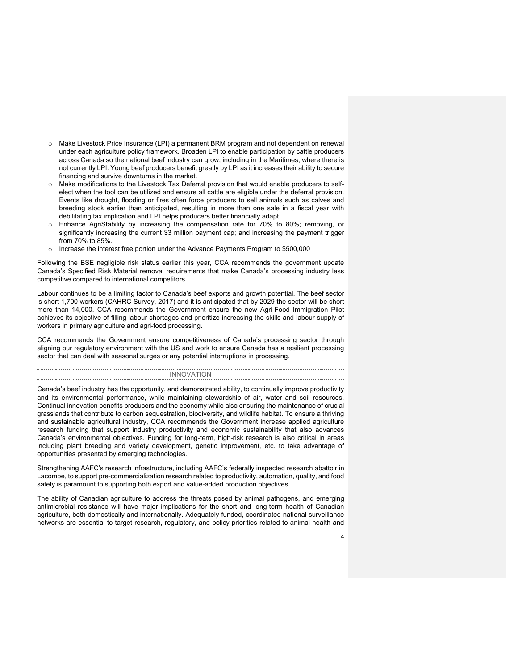- o Make Livestock Price Insurance (LPI) a permanent BRM program and not dependent on renewal under each agriculture policy framework. Broaden LPI to enable participation by cattle producers across Canada so the national beef industry can grow, including in the Maritimes, where there is not currently LPI. Young beef producers benefit greatly by LPI as it increases their ability to secure financing and survive downturns in the market.
- Make modifications to the Livestock Tax Deferral provision that would enable producers to selfelect when the tool can be utilized and ensure all cattle are eligible under the deferral provision. Events like drought, flooding or fires often force producers to sell animals such as calves and breeding stock earlier than anticipated, resulting in more than one sale in a fiscal year with debilitating tax implication and LPI helps producers better financially adapt.
- o Enhance AgriStability by increasing the compensation rate for 70% to 80%; removing, or significantly increasing the current \$3 million payment cap; and increasing the payment trigger from 70% to 85%.
- o Increase the interest free portion under the Advance Payments Program to \$500,000

Following the BSE negligible risk status earlier this year, CCA recommends the government update Canada's Specified Risk Material removal requirements that make Canada's processing industry less competitive compared to international competitors.

Labour continues to be a limiting factor to Canada's beef exports and growth potential. The beef sector is short 1,700 workers (CAHRC Survey, 2017) and it is anticipated that by 2029 the sector will be short more than 14,000. CCA recommends the Government ensure the new Agri-Food Immigration Pilot achieves its objective of filling labour shortages and prioritize increasing the skills and labour supply of workers in primary agriculture and agri-food processing.

CCA recommends the Government ensure competitiveness of Canada's processing sector through aligning our regulatory environment with the US and work to ensure Canada has a resilient processing sector that can deal with seasonal surges or any potential interruptions in processing.

**INNOVATION** Canada's beef industry has the opportunity, and demonstrated ability, to continually improve productivity and its environmental performance, while maintaining stewardship of air, water and soil resources. Continual innovation benefits producers and the economy while also ensuring the maintenance of crucial grasslands that contribute to carbon sequestration, biodiversity, and wildlife habitat. To ensure a thriving and sustainable agricultural industry, CCA recommends the Government increase applied agriculture research funding that support industry productivity and economic sustainability that also advances Canada's environmental objectives. Funding for long-term, high-risk research is also critical in areas including plant breeding and variety development, genetic improvement, etc. to take advantage of opportunities presented by emerging technologies.

Strengthening AAFC's research infrastructure, including AAFC's federally inspected research abattoir in Lacombe, to support pre-commercialization research related to productivity, automation, quality, and food safety is paramount to supporting both export and value-added production objectives.

The ability of Canadian agriculture to address the threats posed by animal pathogens, and emerging antimicrobial resistance will have major implications for the short and long-term health of Canadian agriculture, both domestically and internationally. Adequately funded, coordinated national surveillance networks are essential to target research, regulatory, and policy priorities related to animal health and

4